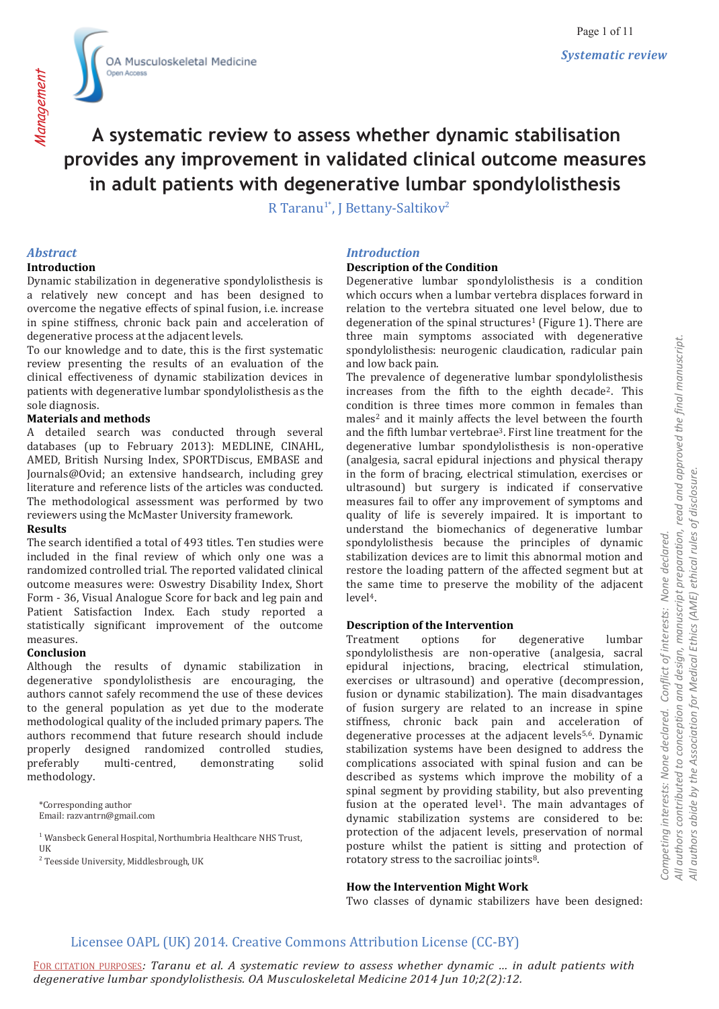

# **A systematic review to assess whether dynamic stabilisation provides any improvement in validated clinical outcome measures in adult patients with degenerative lumbar spondylolisthesis**

R Taranu<sup>1\*</sup>, J Bettany-Saltikov<sup>2</sup>

#### *Abstract*

#### **Introduction**

Dynamic stabilization in degenerative spondylolisthesis is a relatively new concept and has been designed to overcome the negative effects of spinal fusion, i.e. increase in spine stiffness, chronic back pain and acceleration of degenerative process at the adjacent levels.

To our knowledge and to date, this is the first systematic review presenting the results of an evaluation of the clinical effectiveness of dynamic stabilization devices in patients with degenerative lumbar spondylolisthesis as the sole diagnosis.

#### **Materials and methods**

A detailed search was conducted through several databases (up to February 2013): MEDLINE, CINAHL, AMED, British Nursing Index, SPORTDiscus, EMBASE and Journals@Ovid; an extensive handsearch, including grey literature and reference lists of the articles was conducted. The methodological assessment was performed by two reviewers using the McMaster University framework.

### **Results**

The search identified a total of 493 titles. Ten studies were included in the final review of which only one was a randomized controlled trial. The reported validated clinical outcome measures were: Oswestry Disability Index, Short Form - 36, Visual Analogue Score for back and leg pain and Patient Satisfaction Index. Each study reported a statistically significant improvement of the outcome measures.

#### **Conclusion**

Although the results of dynamic stabilization in degenerative spondylolisthesis are encouraging, the authors cannot safely recommend the use of these devices to the general population as yet due to the moderate methodological quality of the included primary papers. The authors recommend that future research should include properly designed randomized controlled studies, preferably multi-centred, demonstrating solid methodology.

\*Corresponding author Email: razvantrn@gmail.com

<sup>1</sup> Wansbeck General Hospital, Northumbria Healthcare NHS Trust, UK

<sup>2</sup> Teesside University, Middlesbrough, UK

#### *Introduction*

#### **Description of the Condition**

Degenerative lumbar spondylolisthesis is a condition which occurs when a lumbar vertebra displaces forward in relation to the vertebra situated one level below, due to degeneration of the spinal structures<sup>1</sup> (Figure 1). There are three main symptoms associated with degenerative spondylolisthesis: neurogenic claudication, radicular pain and low back pain.

The prevalence of degenerative lumbar spondylolisthesis increases from the fifth to the eighth decade2. This condition is three times more common in females than males<sup>2</sup> and it mainly affects the level between the fourth and the fifth lumbar vertebrae3. First line treatment for the degenerative lumbar spondylolisthesis is non-operative (analgesia, sacral epidural injections and physical therapy in the form of bracing, electrical stimulation, exercises or ultrasound) but surgery is indicated if conservative measures fail to offer any improvement of symptoms and quality of life is severely impaired. It is important to understand the biomechanics of degenerative lumbar spondylolisthesis because the principles of dynamic stabilization devices are to limit this abnormal motion and restore the loading pattern of the affected segment but at the same time to preserve the mobility of the adjacent level4.

#### **Description of the Intervention**

Treatment options for degenerative lumbar spondylolisthesis are non-operative (analgesia, sacral epidural injections, bracing, electrical stimulation, exercises or ultrasound) and operative (decompression, fusion or dynamic stabilization). The main disadvantages of fusion surgery are related to an increase in spine stiffness, chronic back pain and acceleration of degenerative processes at the adjacent levels<sup>5,6</sup>. Dynamic stabilization systems have been designed to address the complications associated with spinal fusion and can be described as systems which improve the mobility of a spinal segment by providing stability, but also preventing fusion at the operated level<sup>1</sup>. The main advantages of dynamic stabilization systems are considered to be: protection of the adjacent levels, preservation of normal posture whilst the patient is sitting and protection of rotatory stress to the sacroiliac joints8.

#### **How the Intervention Might Work**

Two classes of dynamic stabilizers have been designed:

#### Licensee OAPL (UK) 2014. Creative Commons Attribution License (CC-BY)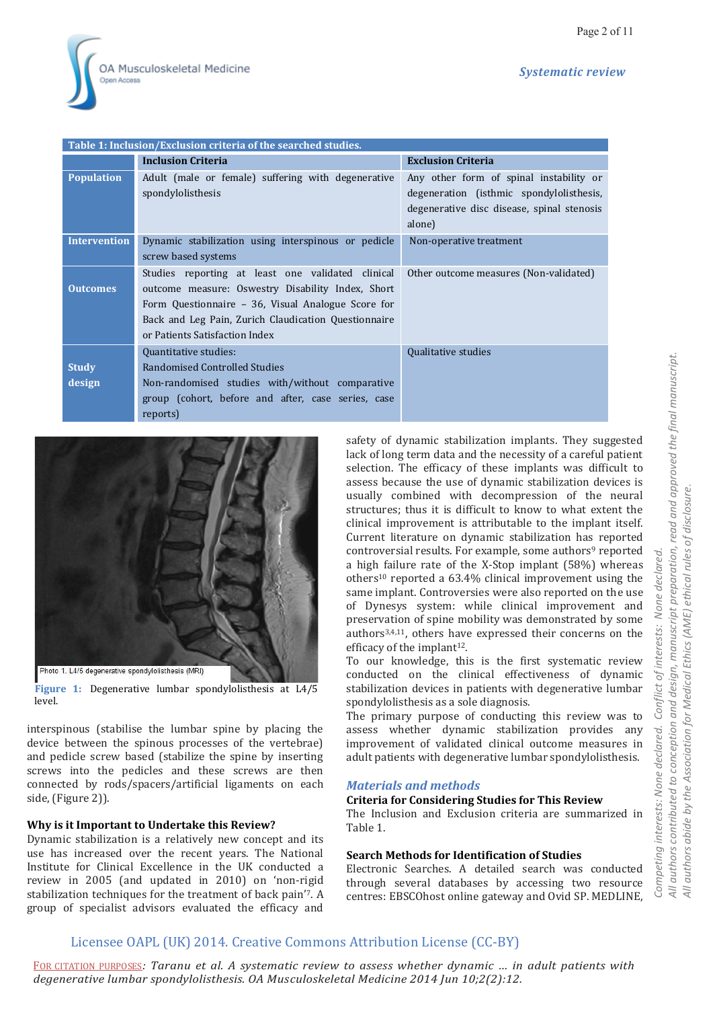

| Table 1: Inclusion/Exclusion criteria of the searched studies. |                                                      |                                                                                        |  |  |  |  |  |  |  |  |
|----------------------------------------------------------------|------------------------------------------------------|----------------------------------------------------------------------------------------|--|--|--|--|--|--|--|--|
|                                                                | <b>Inclusion Criteria</b>                            | <b>Exclusion Criteria</b>                                                              |  |  |  |  |  |  |  |  |
| <b>Population</b>                                              | Adult (male or female) suffering with degenerative   | Any other form of spinal instability or                                                |  |  |  |  |  |  |  |  |
|                                                                | spondylolisthesis                                    | degeneration (isthmic spondylolisthesis,<br>degenerative disc disease, spinal stenosis |  |  |  |  |  |  |  |  |
|                                                                |                                                      | alone)                                                                                 |  |  |  |  |  |  |  |  |
| <b>Intervention</b>                                            | Dynamic stabilization using interspinous or pedicle  | Non-operative treatment                                                                |  |  |  |  |  |  |  |  |
|                                                                | screw based systems                                  |                                                                                        |  |  |  |  |  |  |  |  |
|                                                                | Studies reporting at least one validated clinical    | Other outcome measures (Non-validated)                                                 |  |  |  |  |  |  |  |  |
| <b>Outcomes</b>                                                | outcome measure: Oswestry Disability Index, Short    |                                                                                        |  |  |  |  |  |  |  |  |
|                                                                | Form Questionnaire - 36, Visual Analogue Score for   |                                                                                        |  |  |  |  |  |  |  |  |
|                                                                | Back and Leg Pain, Zurich Claudication Questionnaire |                                                                                        |  |  |  |  |  |  |  |  |
|                                                                | or Patients Satisfaction Index                       |                                                                                        |  |  |  |  |  |  |  |  |
|                                                                | Quantitative studies:                                | Qualitative studies                                                                    |  |  |  |  |  |  |  |  |
| <b>Study</b>                                                   | Randomised Controlled Studies                        |                                                                                        |  |  |  |  |  |  |  |  |
| design                                                         | Non-randomised studies with/without comparative      |                                                                                        |  |  |  |  |  |  |  |  |
|                                                                | group (cohort, before and after, case series, case   |                                                                                        |  |  |  |  |  |  |  |  |
|                                                                | reports)                                             |                                                                                        |  |  |  |  |  |  |  |  |



**Figure 1:** Degenerative lumbar spondylolisthesis at L4/5 level.

interspinous (stabilise the lumbar spine by placing the device between the spinous processes of the vertebrae) and pedicle screw based (stabilize the spine by inserting screws into the pedicles and these screws are then connected by rods/spacers/artificial ligaments on each side, (Figure 2)).

#### **Why is it Important to Undertake this Review?**

Dynamic stabilization is a relatively new concept and its use has increased over the recent years. The National Institute for Clinical Excellence in the UK conducted a review in 2005 (and updated in 2010) on 'non-rigid stabilization techniques for the treatment of back pain'7. A group of specialist advisors evaluated the efficacy and

safety of dynamic stabilization implants. They suggested lack of long term data and the necessity of a careful patient selection. The efficacy of these implants was difficult to assess because the use of dynamic stabilization devices is usually combined with decompression of the neural structures; thus it is difficult to know to what extent the clinical improvement is attributable to the implant itself. Current literature on dynamic stabilization has reported controversial results. For example, some authors<sup>9</sup> reported a high failure rate of the X-Stop implant (58%) whereas others10 reported a 63.4% clinical improvement using the same implant. Controversies were also reported on the use of Dynesys system: while clinical improvement and preservation of spine mobility was demonstrated by some authors3,4,11, others have expressed their concerns on the efficacy of the implant<sup>12</sup>.

To our knowledge, this is the first systematic review conducted on the clinical effectiveness of dynamic stabilization devices in patients with degenerative lumbar spondylolisthesis as a sole diagnosis.

The primary purpose of conducting this review was to assess whether dynamic stabilization provides any improvement of validated clinical outcome measures in adult patients with degenerative lumbar spondylolisthesis.

#### *Materials and methods*

#### **Criteria for Considering Studies for This Review**

The Inclusion and Exclusion criteria are summarized in Table 1.

#### **Search Methods for Identification of Studies**

Electronic Searches. A detailed search was conducted through several databases by accessing two resource centres: EBSCOhost online gateway and Ovid SP. MEDLINE,

# Licensee OAPL (UK) 2014. Creative Commons Attribution License (CC-BY)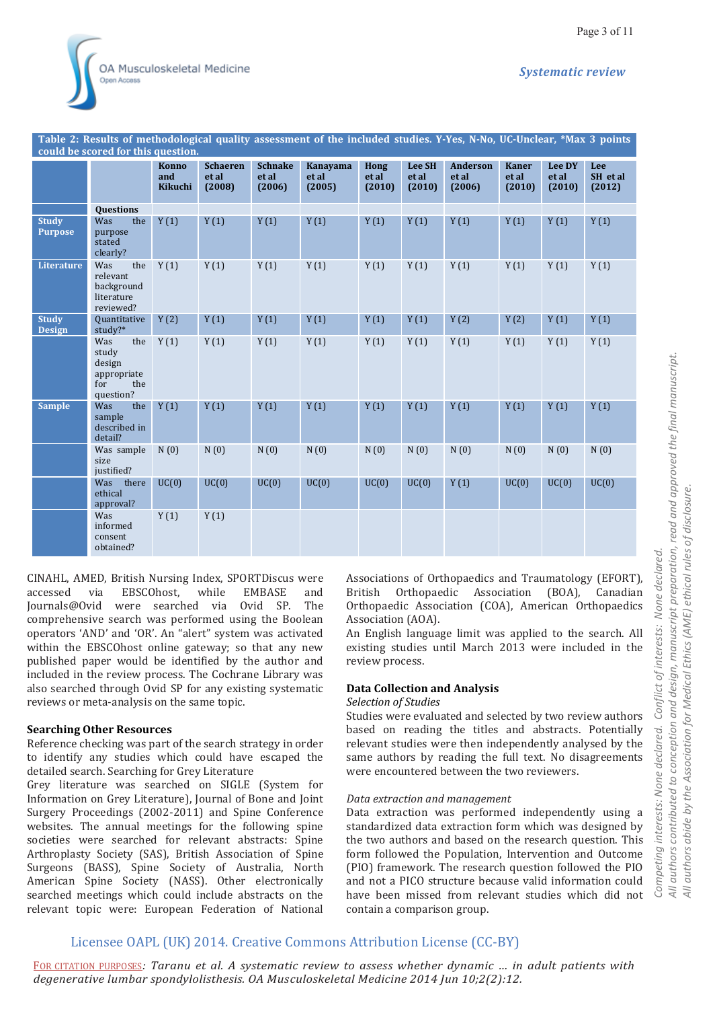Page 3 of 11

| could be scored for this question. |                                                                         |                         |                                    |                                   |                                    |                                |                                  |                                    |                                 |                           |                           |  |  |
|------------------------------------|-------------------------------------------------------------------------|-------------------------|------------------------------------|-----------------------------------|------------------------------------|--------------------------------|----------------------------------|------------------------------------|---------------------------------|---------------------------|---------------------------|--|--|
|                                    |                                                                         | Konno<br>and<br>Kikuchi | <b>Schaeren</b><br>et al<br>(2008) | <b>Schnake</b><br>et al<br>(2006) | <b>Kanavama</b><br>et al<br>(2005) | <b>Hong</b><br>et al<br>(2010) | <b>Lee SH</b><br>et al<br>(2010) | <b>Anderson</b><br>et al<br>(2006) | <b>Kaner</b><br>et al<br>(2010) | Lee DY<br>et al<br>(2010) | Lee<br>SH et al<br>(2012) |  |  |
|                                    | Questions                                                               |                         |                                    |                                   |                                    |                                |                                  |                                    |                                 |                           |                           |  |  |
| <b>Study</b><br><b>Purpose</b>     | Was<br>the<br>purpose<br>stated<br>clearly?                             | Y(1)                    | Y(1)                               | Y(1)                              | Y(1)                               | Y(1)                           | Y(1)                             | Y(1)                               | Y(1)                            | Y(1)                      | Y(1)                      |  |  |
| <b>Literature</b>                  | Was<br>the<br>relevant<br>background<br>literature<br>reviewed?         | Y(1)                    | Y(1)                               | Y(1)                              | Y(1)                               | Y(1)                           | Y(1)                             | Y(1)                               | Y(1)                            | Y(1)                      | Y(1)                      |  |  |
| <b>Study</b><br><b>Design</b>      | Quantitative<br>study?*                                                 | Y(2)                    | Y(1)                               | Y(1)                              | Y(1)                               | Y(1)                           | Y(1)                             | Y(2)                               | Y(2)                            | Y(1)                      | Y(1)                      |  |  |
|                                    | Was<br>the<br>study<br>design<br>appropriate<br>for<br>the<br>question? | Y(1)                    | Y(1)                               | Y(1)                              | Y(1)                               | Y(1)                           | Y(1)                             | Y(1)                               | Y(1)                            | Y(1)                      | Y(1)                      |  |  |
| <b>Sample</b>                      | Was<br>the<br>sample<br>described in<br>detail?                         | Y(1)                    | Y(1)                               | Y(1)                              | Y(1)                               | Y(1)                           | Y(1)                             | Y(1)                               | Y(1)                            | Y(1)                      | Y(1)                      |  |  |
|                                    | Was sample<br>size<br>justified?                                        | N(0)                    | N(0)                               | N(0)                              | N(0)                               | N(0)                           | N(0)                             | N(0)                               | N(0)                            | N(0)                      | N(0)                      |  |  |
|                                    | Was<br>there<br>ethical<br>approval?                                    | UC(0)                   | UC(0)                              | UC(0)                             | UC(0)                              | UC(0)                          | UC(0)                            | Y(1)                               | UC(0)                           | UC(0)                     | UC(0)                     |  |  |
|                                    | Was<br>informed<br>consent<br>obtained?                                 | Y(1)                    | Y(1)                               |                                   |                                    |                                |                                  |                                    |                                 |                           |                           |  |  |

**Table 2: Results of methodological quality assessment of the included studies. Y-Yes, N-No, UC-Unclear, \*Max 3 points** 

CINAHL, AMED, British Nursing Index, SPORTDiscus were accessed via EBSCOhost, while EMBASE and Journals@Ovid were searched via Ovid SP. The comprehensive search was performed using the Boolean operators 'AND' and 'OR'. An "alert" system was activated within the EBSCOhost online gateway; so that any new published paper would be identified by the author and included in the review process. The Cochrane Library was also searched through Ovid SP for any existing systematic reviews or meta-analysis on the same topic.

#### **Searching Other Resources**

Reference checking was part of the search strategy in order to identify any studies which could have escaped the detailed search. Searching for Grey Literature

Grey literature was searched on SIGLE (System for Information on Grey Literature), Journal of Bone and Joint Surgery Proceedings (2002-2011) and Spine Conference websites. The annual meetings for the following spine societies were searched for relevant abstracts: Spine Arthroplasty Society (SAS), British Association of Spine Surgeons (BASS), Spine Society of Australia, North American Spine Society (NASS). Other electronically searched meetings which could include abstracts on the relevant topic were: European Federation of National

Associations of Orthopaedics and Traumatology (EFORT), British Orthopaedic Association (BOA), Canadian Orthopaedic Association (COA), American Orthopaedics Association (AOA).

An English language limit was applied to the search. All existing studies until March 2013 were included in the review process.

#### **Data Collection and Analysis**

#### *Selection of Studies*

Studies were evaluated and selected by two review authors based on reading the titles and abstracts. Potentially relevant studies were then independently analysed by the same authors by reading the full text. No disagreements were encountered between the two reviewers.

#### *Data extraction and management*

Data extraction was performed independently using a standardized data extraction form which was designed by the two authors and based on the research question. This form followed the Population, Intervention and Outcome (PIO) framework. The research question followed the PIO and not a PICO structure because valid information could have been missed from relevant studies which did not contain a comparison group.

# Licensee OAPL (UK) 2014. Creative Commons Attribution License (CC-BY)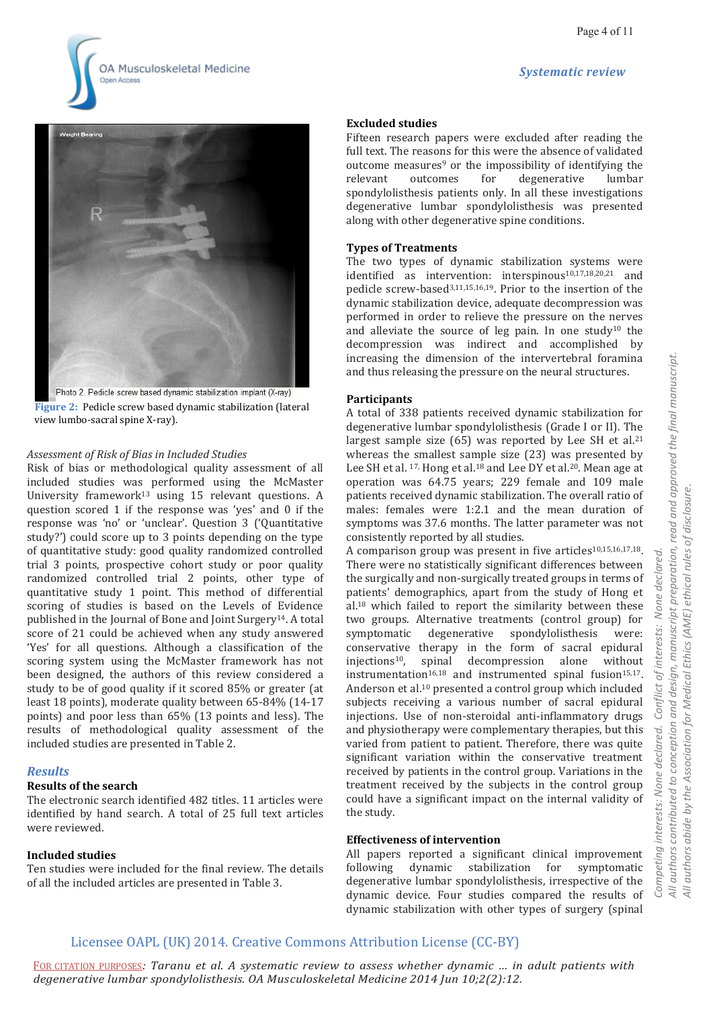





**Figure 2:** Pedicle screw based dynamic stabilization (lateral view lumbo-sacral spine X-ray).

#### *Assessment of Risk of Bias in Included Studies*

Risk of bias or methodological quality assessment of all included studies was performed using the McMaster University framework13 using 15 relevant questions. A question scored 1 if the response was 'yes' and 0 if the response was 'no' or 'unclear'. Question 3 ('Quantitative study?') could score up to 3 points depending on the type of quantitative study: good quality randomized controlled trial 3 points, prospective cohort study or poor quality randomized controlled trial 2 points, other type of quantitative study 1 point. This method of differential scoring of studies is based on the Levels of Evidence published in the Journal of Bone and Joint Surgery14. A total score of 21 could be achieved when any study answered 'Yes' for all questions. Although a classification of the scoring system using the McMaster framework has not been designed, the authors of this review considered a study to be of good quality if it scored 85% or greater (at least 18 points), moderate quality between 65-84% (14-17 points) and poor less than 65% (13 points and less). The results of methodological quality assessment of the included studies are presented in Table 2.

#### *Results*

#### **Results of the search**

The electronic search identified 482 titles. 11 articles were identified by hand search. A total of 25 full text articles were reviewed.

#### **Included studies**

Ten studies were included for the final review. The details of all the included articles are presented in Table 3.

#### **Excluded studies**

Fifteen research papers were excluded after reading the full text. The reasons for this were the absence of validated outcome measures9 or the impossibility of identifying the relevant outcomes for degenerative lumbar spondylolisthesis patients only. In all these investigations degenerative lumbar spondylolisthesis was presented along with other degenerative spine conditions.

#### **Types of Treatments**

The two types of dynamic stabilization systems were identified as intervention: interspinous<sup>10,17,18,20,21</sup> and pedicle screw-based3,11,15,16,19. Prior to the insertion of the dynamic stabilization device, adequate decompression was performed in order to relieve the pressure on the nerves and alleviate the source of leg pain. In one study10 the decompression was indirect and accomplished by increasing the dimension of the intervertebral foramina and thus releasing the pressure on the neural structures.

#### **Participants**

A total of 338 patients received dynamic stabilization for degenerative lumbar spondylolisthesis (Grade I or II). The largest sample size (65) was reported by Lee SH et al.<sup>21</sup> whereas the smallest sample size (23) was presented by Lee SH et al. <sup>17,</sup> Hong et al.<sup>18</sup> and Lee DY et al.<sup>20</sup>. Mean age at operation was 64.75 years; 229 female and 109 male patients received dynamic stabilization. The overall ratio of males: females were 1:2.1 and the mean duration of symptoms was 37.6 months. The latter parameter was not consistently reported by all studies.

A comparison group was present in five articles $10,15,16,17,18$ . There were no statistically significant differences between the surgically and non-surgically treated groups in terms of patients' demographics, apart from the study of Hong et al.18 which failed to report the similarity between these two groups. Alternative treatments (control group) for symptomatic degenerative spondylolisthesis were: conservative therapy in the form of sacral epidural injections10, spinal decompression alone without instrumentation<sup>16,18</sup> and instrumented spinal fusion<sup>15,17</sup>. Anderson et al.10 presented a control group which included subjects receiving a various number of sacral epidural injections. Use of non-steroidal anti-inflammatory drugs and physiotherapy were complementary therapies, but this varied from patient to patient. Therefore, there was quite significant variation within the conservative treatment received by patients in the control group. Variations in the treatment received by the subjects in the control group could have a significant impact on the internal validity of the study.

#### **Effectiveness of intervention**

All papers reported a significant clinical improvement following dynamic stabilization for symptomatic degenerative lumbar spondylolisthesis, irrespective of the dynamic device. Four studies compared the results of dynamic stabilization with other types of surgery (spinal

### Licensee OAPL (UK) 2014. Creative Commons Attribution License (CC-BY)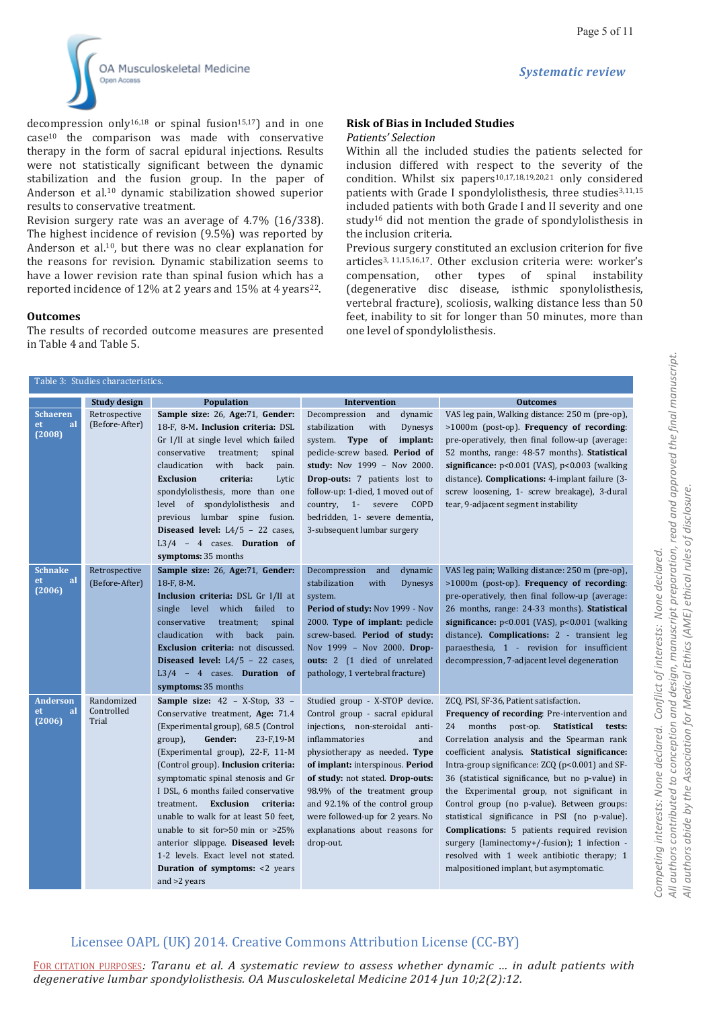*Systematic review*



decompression only<sup>16,18</sup> or spinal fusion<sup>15,17</sup>) and in one case10 the comparison was made with conservative therapy in the form of sacral epidural injections. Results were not statistically significant between the dynamic stabilization and the fusion group. In the paper of Anderson et al.10 dynamic stabilization showed superior results to conservative treatment.

Revision surgery rate was an average of 4.7% (16/338). The highest incidence of revision (9.5%) was reported by Anderson et al.10, but there was no clear explanation for the reasons for revision. Dynamic stabilization seems to have a lower revision rate than spinal fusion which has a reported incidence of 12% at 2 years and 15% at 4 years<sup>22</sup>.

#### **Outcomes**

The results of recorded outcome measures are presented in Table 4 and Table 5.

# **Risk of Bias in Included Studies**

#### *Patients' Selection*

Within all the included studies the patients selected for inclusion differed with respect to the severity of the condition. Whilst six papers<sup>10,17,18,19,20,21</sup> only considered patients with Grade I spondylolisthesis, three studies<sup>3,11,15</sup> included patients with both Grade I and II severity and one study16 did not mention the grade of spondylolisthesis in the inclusion criteria.

Previous surgery constituted an exclusion criterion for five articles3, 11,15,16,17. Other exclusion criteria were: worker's compensation, other types of spinal instability (degenerative disc disease, isthmic sponylolisthesis, vertebral fracture), scoliosis, walking distance less than 50 feet, inability to sit for longer than 50 minutes, more than one level of spondylolisthesis.

| Table 3: Studies characteristics.      |                                   |                                                                                                                                                                                                                                                                                                                                                                                                                                                                                                                                                                    |                                                                                                                                                                                                                                                                                                                                                                                             |                                                                                                                                                                                                                                                                                                                                                                                                                                                                                                                                                                                                                                                                                    |  |  |  |  |  |  |  |
|----------------------------------------|-----------------------------------|--------------------------------------------------------------------------------------------------------------------------------------------------------------------------------------------------------------------------------------------------------------------------------------------------------------------------------------------------------------------------------------------------------------------------------------------------------------------------------------------------------------------------------------------------------------------|---------------------------------------------------------------------------------------------------------------------------------------------------------------------------------------------------------------------------------------------------------------------------------------------------------------------------------------------------------------------------------------------|------------------------------------------------------------------------------------------------------------------------------------------------------------------------------------------------------------------------------------------------------------------------------------------------------------------------------------------------------------------------------------------------------------------------------------------------------------------------------------------------------------------------------------------------------------------------------------------------------------------------------------------------------------------------------------|--|--|--|--|--|--|--|
|                                        | Study design                      | <b>Population</b>                                                                                                                                                                                                                                                                                                                                                                                                                                                                                                                                                  | Intervention                                                                                                                                                                                                                                                                                                                                                                                | <b>Outcomes</b>                                                                                                                                                                                                                                                                                                                                                                                                                                                                                                                                                                                                                                                                    |  |  |  |  |  |  |  |
| <b>Schaeren</b><br>et.<br>al<br>(2008) | Retrospective<br>(Before-After)   | Sample size: 26, Age:71, Gender:<br>18-F, 8-M. Inclusion criteria: DSL<br>Gr I/II at single level which failed<br>conservative treatment;<br>spinal<br>with back<br>claudication<br>pain.<br><b>Exclusion</b><br>criteria:<br>Lytic<br>spondylolisthesis, more than one<br>level of spondylolisthesis<br>and<br>previous lumbar spine fusion.<br>Diseased level: $L4/5 - 22$ cases,<br>L3/4 - 4 cases. Duration of<br>symptoms: 35 months                                                                                                                          | Decompression and<br>dynamic<br>stabilization<br>with<br><b>Dynesys</b><br>system. Type of implant:<br>pedicle-screw based. Period of<br>study: Nov 1999 - Nov 2000.<br>Drop-outs: 7 patients lost to<br>follow-up: 1-died, 1 moved out of<br>country, 1- severe<br>COPD<br>bedridden, 1- severe dementia,<br>3-subsequent lumbar surgery                                                   | VAS leg pain, Walking distance: 250 m (pre-op),<br>>1000m (post-op). Frequency of recording:<br>pre-operatively, then final follow-up (average:<br>52 months, range: 48-57 months). Statistical<br>significance: $p<0.001$ (VAS), $p<0.003$ (walking<br>distance). Complications: 4-implant failure (3-<br>screw loosening, 1- screw breakage), 3-dural<br>tear, 9-adjacent segment instability                                                                                                                                                                                                                                                                                    |  |  |  |  |  |  |  |
| <b>Schnake</b><br>al<br>et<br>(2006)   | Retrospective<br>(Before-After)   | Sample size: 26, Age:71, Gender:<br>18-F, 8-M.<br>Inclusion criteria: DSL Gr I/II at<br>single level which failed to<br>conservative<br>treatment;<br>spinal<br>with<br>claudication<br>back<br>pain.<br><b>Exclusion criteria:</b> not discussed.<br>Diseased level: $L4/5 - 22$ cases,<br>L3/4 - 4 cases. Duration of<br>symptoms: 35 months                                                                                                                                                                                                                     | Decompression<br>and<br>dynamic<br>stabilization<br>with<br><b>Dynesys</b><br>system.<br>Period of study: Nov 1999 - Nov<br>2000. Type of implant: pedicle<br>screw-based. Period of study:<br>Nov 1999 - Nov 2000. Drop-<br>outs: 2 (1 died of unrelated<br>pathology, 1 vertebral fracture)                                                                                               | VAS leg pain; Walking distance: 250 m (pre-op),<br>>1000m (post-op). Frequency of recording:<br>pre-operatively, then final follow-up (average:<br>26 months, range: 24-33 months). Statistical<br>significance: $p<0.001$ (VAS), $p<0.001$ (walking<br>distance). Complications: 2 - transient leg<br>paraesthesia, 1 - revision for insufficient<br>decompression, 7-adjacent level degeneration                                                                                                                                                                                                                                                                                 |  |  |  |  |  |  |  |
| <b>Anderson</b><br>et<br>al<br>(2006)  | Randomized<br>Controlled<br>Trial | Sample size: 42 - X-Stop, 33 -<br>Conservative treatment, Age: 71.4<br>(Experimental group), 68.5 (Control<br>group),<br>Gender:<br>$23-F,19-M$<br>(Experimental group), 22-F, 11-M<br>(Control group). Inclusion criteria:<br>symptomatic spinal stenosis and Gr<br>I DSL, 6 months failed conservative<br>treatment.<br>Exclusion criteria:<br>unable to walk for at least 50 feet,<br>unable to sit for>50 min or >25%<br>anterior slippage. Diseased level:<br>1-2 levels. Exact level not stated.<br><b>Duration of symptoms: &lt;2 years</b><br>and >2 years | Studied group - X-STOP device.<br>Control group - sacral epidural<br>injections, non-steroidal anti-<br>inflammatories<br>and<br>physiotherapy as needed. Type<br>of implant: interspinous. Period<br>of study: not stated. Drop-outs:<br>98.9% of the treatment group<br>and 92.1% of the control group<br>were followed-up for 2 years. No<br>explanations about reasons for<br>drop-out. | ZCQ, PSI, SF-36, Patient satisfaction.<br>Frequency of recording: Pre-intervention and<br>months post-op. Statistical tests:<br>24<br>Correlation analysis and the Spearman rank<br>coefficient analysis. Statistical significance:<br>Intra-group significance: ZCQ (p<0.001) and SF-<br>36 (statistical significance, but no p-value) in<br>the Experimental group, not significant in<br>Control group (no p-value). Between groups:<br>statistical significance in PSI (no p-value).<br>Complications: 5 patients required revision<br>surgery (laminectomy+/-fusion); 1 infection -<br>resolved with 1 week antibiotic therapy; 1<br>malpositioned implant, but asymptomatic. |  |  |  |  |  |  |  |

# Licensee OAPL (UK) 2014. Creative Commons Attribution License (CC-BY)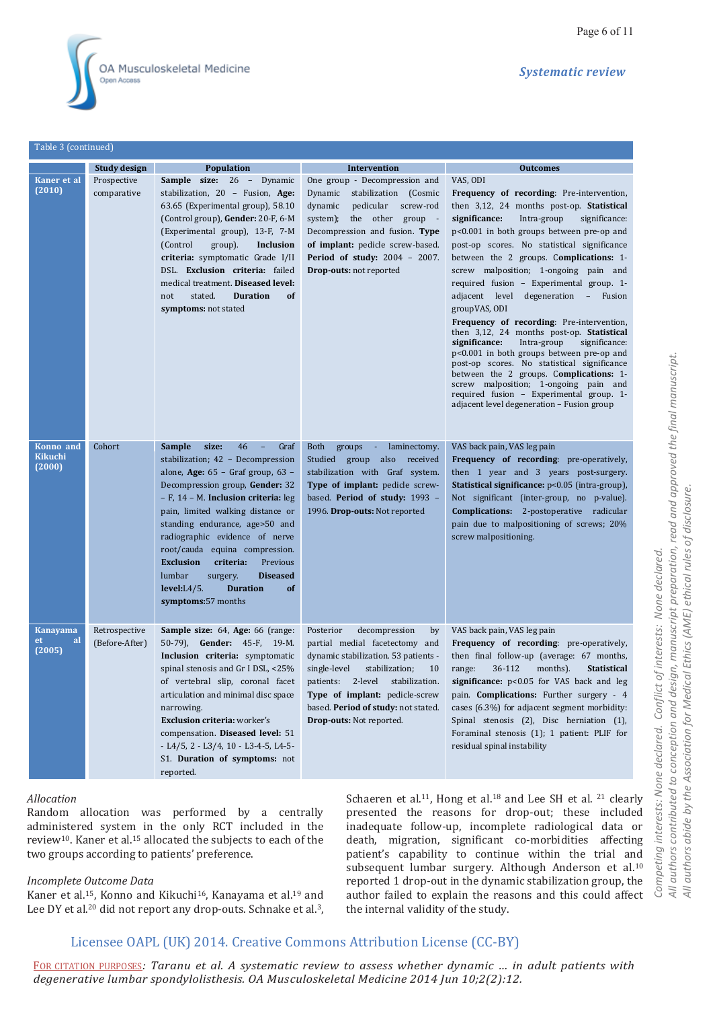

Table 3 (continued)

|                                       | <b>Study design</b>             | <b>Population</b>                                                                                                                                                                                                                                                                                                                                                                                                                                                                                    | Intervention                                                                                                                                                                                                                                                                                                    | <b>Outcomes</b>                                                                                                                                                                                                                                                                                                                                                                                                                                                                                                                                                                                                                                                                                                                                                                                                                                                         |
|---------------------------------------|---------------------------------|------------------------------------------------------------------------------------------------------------------------------------------------------------------------------------------------------------------------------------------------------------------------------------------------------------------------------------------------------------------------------------------------------------------------------------------------------------------------------------------------------|-----------------------------------------------------------------------------------------------------------------------------------------------------------------------------------------------------------------------------------------------------------------------------------------------------------------|-------------------------------------------------------------------------------------------------------------------------------------------------------------------------------------------------------------------------------------------------------------------------------------------------------------------------------------------------------------------------------------------------------------------------------------------------------------------------------------------------------------------------------------------------------------------------------------------------------------------------------------------------------------------------------------------------------------------------------------------------------------------------------------------------------------------------------------------------------------------------|
| Kaner et al<br>(2010)                 | Prospective<br>comparative      | <b>Sample size: 26 -</b><br>Dynamic<br>stabilization, 20 - Fusion, Age:<br>63.65 (Experimental group), 58.10<br>(Control group), Gender: 20-F, 6-M<br>(Experimental group), 13-F, 7-M<br>(Control)<br>group).<br>Inclusion<br>criteria: symptomatic Grade I/II<br>DSL. Exclusion criteria: failed<br>medical treatment. Diseased level:<br>stated.<br><b>Duration</b><br>of<br>not<br>symptoms: not stated                                                                                           | One group - Decompression and<br>Dynamic<br>stabilization (Cosmic<br>pedicular<br>dynamic<br>screw-rod<br>the other group -<br>system);<br>Decompression and fusion. Type<br>of implant: pedicle screw-based.<br><b>Period of study: 2004 - 2007.</b><br><b>Drop-outs:</b> not reported                         | VAS, ODI<br>Frequency of recording: Pre-intervention,<br>then 3,12, 24 months post-op. <b>Statistical</b><br>significance:<br>Intra-group<br>significance:<br>p<0.001 in both groups between pre-op and<br>post-op scores. No statistical significance<br>between the 2 groups. Complications: 1-<br>screw malposition; 1-ongoing pain and<br>required fusion - Experimental group. 1-<br>adjacent level<br>degeneration - Fusion<br>groupVAS, ODI<br>Frequency of recording: Pre-intervention,<br>then 3,12, 24 months post-op. Statistical<br>significance:<br>Intra-group<br>significance:<br>p<0.001 in both groups between pre-op and<br>post-op scores. No statistical significance<br>between the 2 groups. Complications: 1-<br>screw malposition; 1-ongoing pain and<br>required fusion - Experimental group. 1-<br>adjacent level degeneration - Fusion group |
| Konno and<br><b>Kikuchi</b><br>(2000) | Cohort                          | <b>Sample</b><br>size:<br>46<br>Graf<br>stabilization; 42 - Decompression<br>alone, Age: 65 - Graf group, 63 -<br>Decompression group, Gender: 32<br>- F, 14 - M. Inclusion criteria: leg<br>pain, limited walking distance or<br>standing endurance, age>50 and<br>radiographic evidence of nerve<br>root/cauda equina compression.<br><b>Exclusion</b><br>criteria:<br>Previous<br>lumbar<br><b>Diseased</b><br>surgery.<br><b>Duration</b><br>level: L4/5.<br><sub>of</sub><br>symptoms:57 months | Both<br>groups -<br>laminectomy.<br>Studied group also received<br>stabilization with Graf system.<br>Type of implant: pedicle screw-<br>based. Period of study: 1993 -<br>1996. Drop-outs: Not reported                                                                                                        | VAS back pain, VAS leg pain<br>Frequency of recording: pre-operatively,<br>then 1 year and 3 years post-surgery.<br>Statistical significance: p<0.05 (intra-group),<br>Not significant (inter-group, no p-value).<br><b>Complications:</b> 2-postoperative radicular<br>pain due to malpositioning of screws; 20%<br>screw malpositioning.                                                                                                                                                                                                                                                                                                                                                                                                                                                                                                                              |
| <b>Kanayama</b><br>et<br>al<br>(2005) | Retrospective<br>(Before-After) | <b>Sample size:</b> 64, Age: 66 (range:<br>50-79), Gender: 45-F, 19-M.<br>Inclusion criteria: symptomatic<br>spinal stenosis and Gr I DSL, <25%<br>of vertebral slip, coronal facet<br>articulation and minimal disc space<br>narrowing.<br><b>Exclusion criteria:</b> worker's<br>compensation. Diseased level: 51<br>- L4/5, 2 - L3/4, 10 - L3-4-5, L4-5-<br>S1. Duration of symptoms: not<br>reported.                                                                                            | Posterior<br>decompression<br>by<br>partial medial facetectomy and<br>dynamic stabilization. 53 patients -<br>single-level<br>stabilization;<br>10<br>2-level<br>stabilization.<br>patients:<br><b>Type of implant:</b> pedicle-screw<br>based. Period of study: not stated.<br><b>Drop-outs: Not reported.</b> | VAS back pain, VAS leg pain<br>Frequency of recording: pre-operatively,<br>then final follow-up (average: 67 months,<br>36-112<br>range:<br>months).<br><b>Statistical</b><br>significance: p<0.05 for VAS back and leg<br>pain. <b>Complications:</b> Further surgery - 4<br>cases (6.3%) for adjacent segment morbidity:<br>Spinal stenosis (2), Disc herniation (1),<br>Foraminal stenosis (1); 1 patient: PLIF for<br>residual spinal instability                                                                                                                                                                                                                                                                                                                                                                                                                   |

#### *Allocation*

Random allocation was performed by a centrally administered system in the only RCT included in the review10. Kaner et al.15 allocated the subjects to each of the two groups according to patients' preference.

#### *Incomplete Outcome Data*

Kaner et al.15, Konno and Kikuchi16, Kanayama et al.19 and Lee DY et al.<sup>20</sup> did not report any drop-outs. Schnake et al.<sup>3</sup>, Schaeren et al.<sup>11</sup>, Hong et al.<sup>18</sup> and Lee SH et al.<sup>21</sup> clearly presented the reasons for drop-out; these included inadequate follow-up, incomplete radiological data or death, migration, significant co-morbidities affecting patient's capability to continue within the trial and subsequent lumbar surgery. Although Anderson et al.<sup>10</sup> reported 1 drop-out in the dynamic stabilization group, the author failed to explain the reasons and this could affect the internal validity of the study.

# Licensee OAPL (UK) 2014. Creative Commons Attribution License (CC-BY)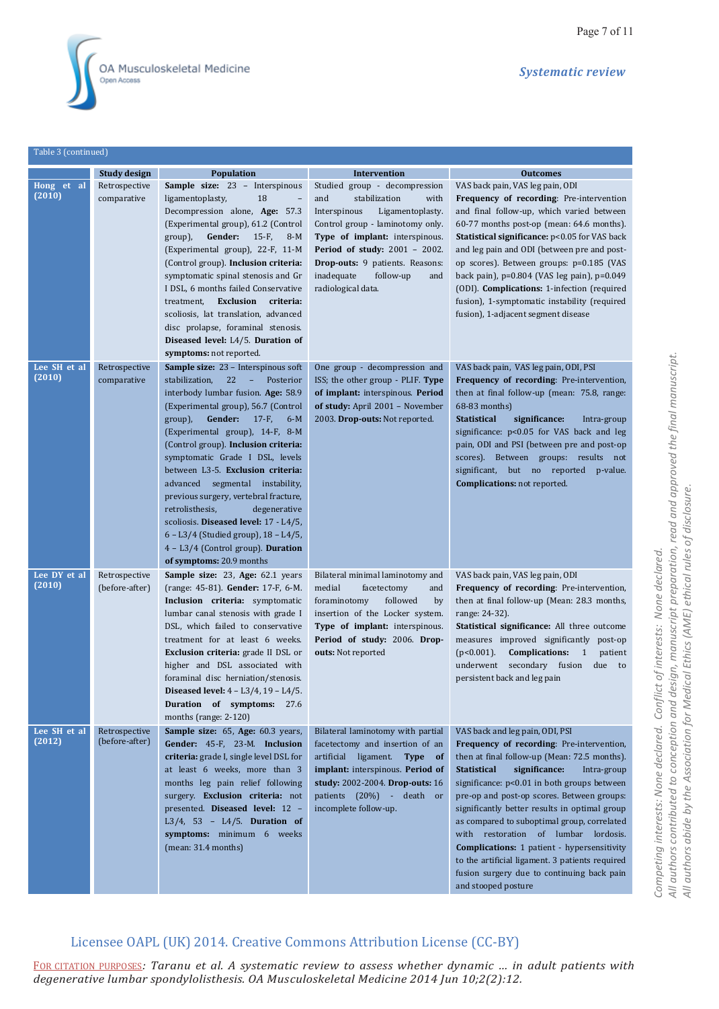

Table 3 (continued)

*Systematic review*

|                        | Study design                    | <b>Population</b>                                                                                                                                                                                                                                                                                                                                                                                                                                                                                                                                                                                                          | <b>Intervention</b>                                                                                                                                                                                                                                                                                        | <b>Outcomes</b>                                                                                                                                                                                                                                                                                                                                                                                                                                                                                                                                                                                         |
|------------------------|---------------------------------|----------------------------------------------------------------------------------------------------------------------------------------------------------------------------------------------------------------------------------------------------------------------------------------------------------------------------------------------------------------------------------------------------------------------------------------------------------------------------------------------------------------------------------------------------------------------------------------------------------------------------|------------------------------------------------------------------------------------------------------------------------------------------------------------------------------------------------------------------------------------------------------------------------------------------------------------|---------------------------------------------------------------------------------------------------------------------------------------------------------------------------------------------------------------------------------------------------------------------------------------------------------------------------------------------------------------------------------------------------------------------------------------------------------------------------------------------------------------------------------------------------------------------------------------------------------|
| Hong et al<br>(2010)   | Retrospective<br>comparative    | Sample size: 23 - Interspinous<br>ligamentoplasty,<br>18<br>Decompression alone, Age: 57.3<br>(Experimental group), 61.2 (Control<br>Gender: $15-F$ ,<br>group),<br>$8-M$<br>(Experimental group), 22-F, 11-M<br>(Control group). Inclusion criteria:<br>symptomatic spinal stenosis and Gr<br>I DSL, 6 months failed Conservative<br>Exclusion criteria:<br>treatment,<br>scoliosis, lat translation, advanced<br>disc prolapse, foraminal stenosis.<br>Diseased level: L4/5. Duration of<br>symptoms: not reported.                                                                                                      | Studied group - decompression<br>stabilization<br>and<br>with<br>Interspinous<br>Ligamentoplasty.<br>Control group - laminotomy only.<br>Type of implant: interspinous.<br><b>Period of study: 2001 - 2002.</b><br>Drop-outs: 9 patients. Reasons:<br>inadequate<br>follow-up<br>and<br>radiological data. | VAS back pain, VAS leg pain, ODI<br>Frequency of recording: Pre-intervention<br>and final follow-up, which varied between<br>60-77 months post-op (mean: 64.6 months).<br><b>Statistical significance:</b> p<0.05 for VAS back<br>and leg pain and ODI (between pre and post-<br>op scores). Between groups: p=0.185 (VAS<br>back pain), $p=0.804$ (VAS leg pain), $p=0.049$<br>(ODI). Complications: 1-infection (required<br>fusion), 1-symptomatic instability (required<br>fusion), 1-adjacent segment disease                                                                                      |
| Lee SH et al<br>(2010) | Retrospective<br>comparative    | <b>Sample size:</b> 23 - Interspinous soft<br>stabilization,<br>22 - Posterior<br>interbody lumbar fusion. Age: 58.9<br>(Experimental group), 56.7 (Control<br>Gender:<br>group),<br>$17-F,$<br>$6-M$<br>(Experimental group), 14-F, 8-M<br>(Control group). Inclusion criteria:<br>symptomatic Grade I DSL, levels<br>between L3-5. Exclusion criteria:<br>advanced segmental instability,<br>previous surgery, vertebral fracture,<br>retrolisthesis,<br>degenerative<br>scoliosis. Diseased level: 17 - L4/5,<br>6 - L3/4 (Studied group), 18 - L4/5,<br>4 - L3/4 (Control group). Duration<br>of symptoms: 20.9 months | One group - decompression and<br>ISS; the other group - PLIF. Type<br>of implant: interspinous. Period<br>of study: April 2001 - November<br>2003. Drop-outs: Not reported.                                                                                                                                | VAS back pain, VAS leg pain, ODI, PSI<br>Frequency of recording: Pre-intervention,<br>then at final follow-up (mean: 75.8, range:<br>68-83 months)<br><b>Statistical</b><br>significance:<br>Intra-group<br>significance: p<0.05 for VAS back and leg<br>pain, ODI and PSI (between pre and post-op<br>scores). Between groups: results not<br>significant, but no reported p-value.<br><b>Complications:</b> not reported.                                                                                                                                                                             |
| Lee DY et al<br>(2010) | Retrospective<br>(before-after) | Sample size: 23, Age: 62.1 years<br>(range: 45-81). Gender: 17-F, 6-M.<br>Inclusion criteria: symptomatic<br>lumbar canal stenosis with grade I<br>DSL, which failed to conservative<br>treatment for at least 6 weeks.<br>Exclusion criteria: grade II DSL or<br>higher and DSL associated with<br>foraminal disc herniation/stenosis.<br>Diseased level: 4 - L3/4, 19 - L4/5.<br>Duration of symptoms: 27.6<br>months (range: 2-120)                                                                                                                                                                                     | Bilateral minimal laminotomy and<br>medial<br>facetectomy<br>and<br>followed<br>foraminotomy<br>by<br>insertion of the Locker system.<br>Type of implant: interspinous.<br>Period of study: 2006. Drop-<br>outs: Not reported                                                                              | VAS back pain, VAS leg pain, ODI<br>Frequency of recording: Pre-intervention,<br>then at final follow-up (Mean: 28.3 months,<br>range: 24-32).<br>Statistical significance: All three outcome<br>measures improved significantly post-op<br>Complications: 1<br>$(p<0.001)$ .<br>patient<br>underwent secondary fusion<br>due<br>to<br>persistent back and leg pain                                                                                                                                                                                                                                     |
| Lee SH et al<br>(2012) | Retrospective<br>(before-after) | Sample size: 65, Age: 60.3 years,<br>Gender: 45-F, 23-M. Inclusion<br>criteria: grade I, single level DSL for<br>at least 6 weeks, more than 3<br>months leg pain relief following<br>surgery. Exclusion criteria: not<br>presented. Diseased level: 12 -<br>L3/4, 53 - L4/5. Duration of<br>symptoms: minimum 6 weeks<br>(mean: 31.4 months)                                                                                                                                                                                                                                                                              | Bilateral laminotomy with partial<br>facetectomy and insertion of an<br>artificial ligament. Type of<br>implant: interspinous. Period of<br>study: 2002-2004. Drop-outs: 16<br>patients (20%) - death or<br>incomplete follow-up.                                                                          | VAS back and leg pain, ODI, PSI<br>Frequency of recording: Pre-intervention,<br>then at final follow-up (Mean: 72.5 months).<br><b>Statistical</b><br>significance:<br>Intra-group<br>significance: $p<0.01$ in both groups between<br>pre-op and post-op scores. Between groups:<br>significantly better results in optimal group<br>as compared to suboptimal group, correlated<br>with restoration of lumbar lordosis.<br><b>Complications:</b> 1 patient - hypersensitivity<br>to the artificial ligament. 3 patients required<br>fusion surgery due to continuing back pain<br>and stooped posture |

# Licensee OAPL (UK) 2014. Creative Commons Attribution License (CC-BY)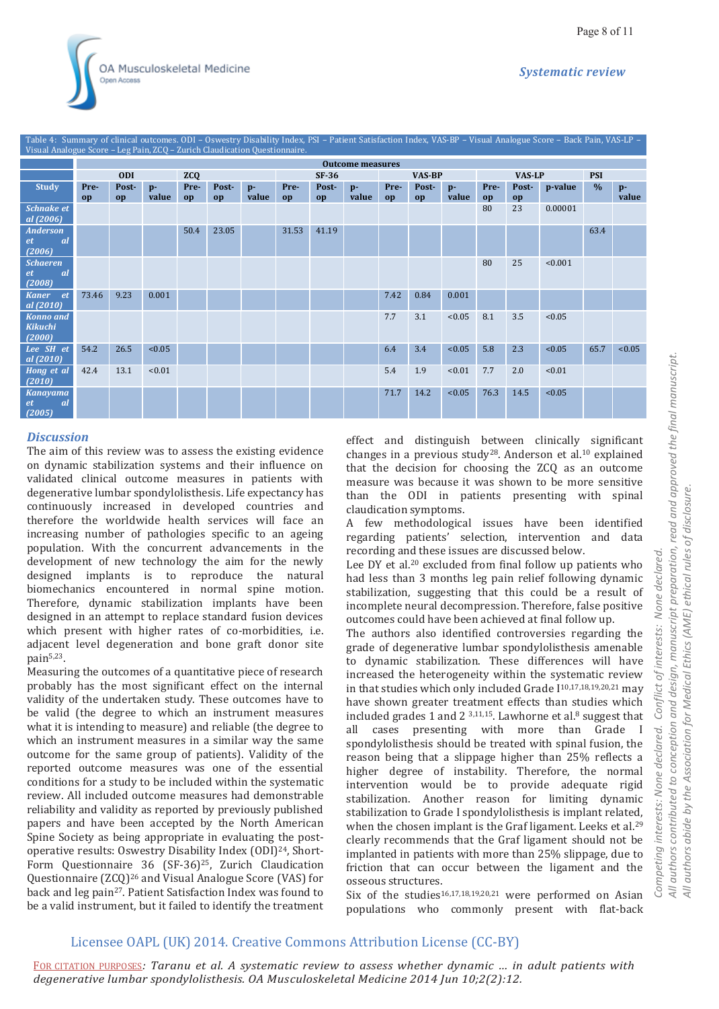*Systematic review*



| Table 4: Summary of clinical outcomes. ODI - Oswestry Disability Index, PSI - Patient Satisfaction Index, VAS-BP - Visual Analogue Score - Back Pain, VAS-LP -<br>Visual Analogue Score - Leg Pain, ZCQ - Zurich Claudication Questionnaire. |                         |             |               |            |             |               |            |             |               |               |             |               |               |             |         |               |               |
|----------------------------------------------------------------------------------------------------------------------------------------------------------------------------------------------------------------------------------------------|-------------------------|-------------|---------------|------------|-------------|---------------|------------|-------------|---------------|---------------|-------------|---------------|---------------|-------------|---------|---------------|---------------|
|                                                                                                                                                                                                                                              | <b>Outcome measures</b> |             |               |            |             |               |            |             |               |               |             |               |               |             |         |               |               |
|                                                                                                                                                                                                                                              | <b>ODI</b>              |             |               | <b>ZCQ</b> |             |               | $SF-36$    |             |               | <b>VAS-BP</b> |             |               | <b>VAS-LP</b> |             |         | <b>PSI</b>    |               |
| <b>Study</b>                                                                                                                                                                                                                                 | Pre-<br>op              | Post-<br>op | $p-$<br>value | Pre-<br>op | Post-<br>op | $p-$<br>value | Pre-<br>op | Post-<br>op | $p-$<br>value | Pre-<br>op    | Post-<br>op | $p-$<br>value | Pre-<br>op    | Post-<br>op | p-value | $\frac{0}{0}$ | $p-$<br>value |
| <b>Schnake et</b><br>al (2006)                                                                                                                                                                                                               |                         |             |               |            |             |               |            |             |               |               |             |               | 80            | 23          | 0.00001 |               |               |
| <b>Anderson</b><br><sub>al</sub><br>et<br>(2006)                                                                                                                                                                                             |                         |             |               | 50.4       | 23.05       |               | 31.53      | 41.19       |               |               |             |               |               |             |         | 63.4          |               |
| <b>Schaeren</b><br><sub>al</sub><br>et<br>(2008)                                                                                                                                                                                             |                         |             |               |            |             |               |            |             |               |               |             |               | 80            | 25          | < 0.001 |               |               |
| Kaner et<br>al (2010)                                                                                                                                                                                                                        | 73.46                   | 9.23        | 0.001         |            |             |               |            |             |               | 7.42          | 0.84        | 0.001         |               |             |         |               |               |
| <b>Konno and</b><br><b>Kikuchi</b><br>(2000)                                                                                                                                                                                                 |                         |             |               |            |             |               |            |             |               | 7.7           | 3.1         | < 0.05        | 8.1           | 3.5         | < 0.05  |               |               |
| Lee SH et<br>al (2010)                                                                                                                                                                                                                       | 54.2                    | 26.5        | < 0.05        |            |             |               |            |             |               | 6.4           | 3.4         | < 0.05        | 5.8           | 2.3         | < 0.05  | 65.7          | < 0.05        |
| Hong et al<br>(2010)                                                                                                                                                                                                                         | 42.4                    | 13.1        | < 0.01        |            |             |               |            |             |               | 5.4           | 1.9         | < 0.01        | 7.7           | 2.0         | < 0.01  |               |               |
| <b>Kanayama</b><br><sub>al</sub><br>et<br>(2005)                                                                                                                                                                                             |                         |             |               |            |             |               |            |             |               | 71.7          | 14.2        | < 0.05        | 76.3          | 14.5        | < 0.05  |               |               |

#### *Discussion*

The aim of this review was to assess the existing evidence on dynamic stabilization systems and their influence on validated clinical outcome measures in patients with degenerative lumbar spondylolisthesis. Life expectancy has continuously increased in developed countries and therefore the worldwide health services will face an increasing number of pathologies specific to an ageing population. With the concurrent advancements in the development of new technology the aim for the newly designed implants is to reproduce the natural biomechanics encountered in normal spine motion. Therefore, dynamic stabilization implants have been designed in an attempt to replace standard fusion devices which present with higher rates of co-morbidities, i.e. adjacent level degeneration and bone graft donor site pain5,23.

Measuring the outcomes of a quantitative piece of research probably has the most significant effect on the internal validity of the undertaken study. These outcomes have to be valid (the degree to which an instrument measures what it is intending to measure) and reliable (the degree to which an instrument measures in a similar way the same outcome for the same group of patients). Validity of the reported outcome measures was one of the essential conditions for a study to be included within the systematic review. All included outcome measures had demonstrable reliability and validity as reported by previously published papers and have been accepted by the North American Spine Society as being appropriate in evaluating the postoperative results: Oswestry Disability Index (ODI)24, Short-Form Questionnaire 36 (SF-36)<sup>25</sup>, Zurich Claudication Questionnaire (ZCQ)26 and Visual Analogue Score (VAS) for back and leg pain27. Patient Satisfaction Index was found to be a valid instrument, but it failed to identify the treatment effect and distinguish between clinically significant changes in a previous study28. Anderson et al.10 explained that the decision for choosing the ZCQ as an outcome measure was because it was shown to be more sensitive than the ODI in patients presenting with spinal claudication symptoms.

A few methodological issues have been identified regarding patients' selection, intervention and data recording and these issues are discussed below.

Lee DY et al.<sup>20</sup> excluded from final follow up patients who had less than 3 months leg pain relief following dynamic stabilization, suggesting that this could be a result of incomplete neural decompression. Therefore, false positive outcomes could have been achieved at final follow up.

The authors also identified controversies regarding the grade of degenerative lumbar spondylolisthesis amenable to dynamic stabilization. These differences will have increased the heterogeneity within the systematic review in that studies which only included Grade I10,17,18,19,20,21 may have shown greater treatment effects than studies which included grades 1 and 2  $3,11,15$ . Lawhorne et al. $8$  suggest that all cases presenting with more than Grade I spondylolisthesis should be treated with spinal fusion, the reason being that a slippage higher than 25% reflects a higher degree of instability. Therefore, the normal intervention would be to provide adequate rigid stabilization. Another reason for limiting dynamic stabilization to Grade I spondylolisthesis is implant related, when the chosen implant is the Graf ligament. Leeks et al.<sup>29</sup> clearly recommends that the Graf ligament should not be implanted in patients with more than 25% slippage, due to friction that can occur between the ligament and the osseous structures.

Six of the studies<sup>16,17,18,19,20,21</sup> were performed on Asian populations who commonly present with flat-back

# *All authors contributed to conception and design, manuscript preparation, read and approved the final manuscript.*  authors contributed to conception and design, manuscript preparation, read and approved the final manuscript. authors abide by the Association for Medical Ethics (AME) ethical rules of disclosure. *All authors abide by the Association for Medical Ethics (AME) ethical rules of disclosure. Competing interests: None declared. Conflict of interests: None declared.*  None declared. Conflict of interests: Competing interests: None declared.  $\overline{4}$  $\overline{4}$

# Licensee OAPL (UK) 2014. Creative Commons Attribution License (CC-BY)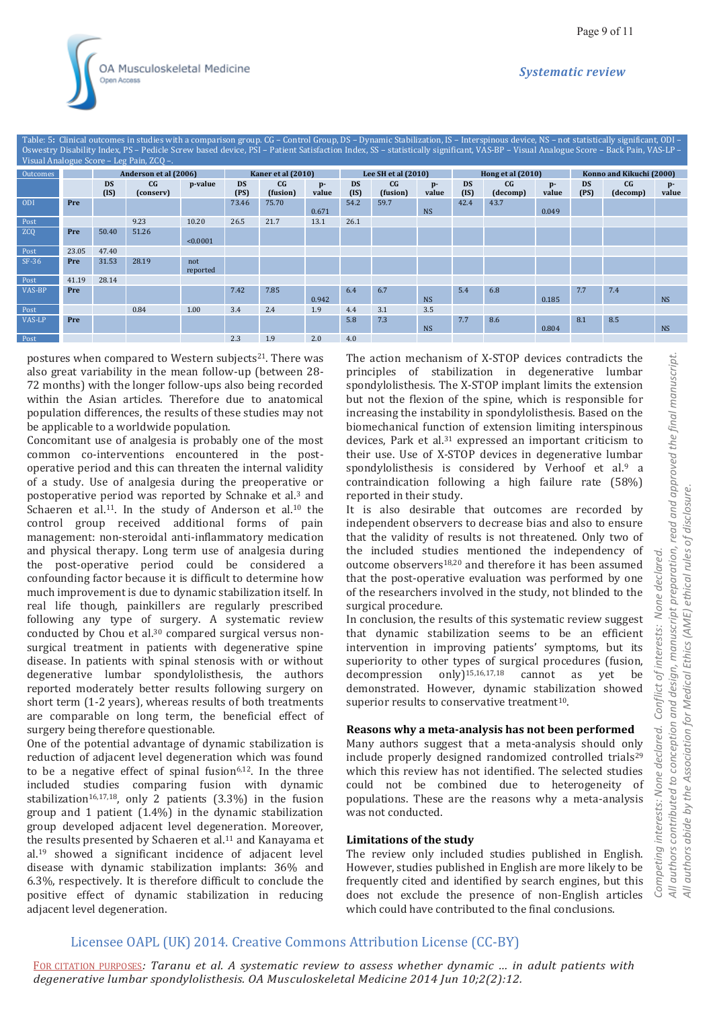| Table: 5: Clinical outcomes in studies with a comparison group. CG – Control Group, DS – Dynamic Stabilization, IS – Interspinous device, NS – not statistically significant, ODI –<br>Oswestry Disability Index, PS - Pedicle Screw based device, PSI - Patient Satisfaction Index, SS - statistically significant, VAS-BP - Visual Analogue Score - Back Pain, VAS-LP -<br>Visual Analogue Score - Leg Pain, ZCO -. |       |                       |                               |                 |                                                                |       |       |                     |                            |             |                   |                            |               |                          |                              |               |
|-----------------------------------------------------------------------------------------------------------------------------------------------------------------------------------------------------------------------------------------------------------------------------------------------------------------------------------------------------------------------------------------------------------------------|-------|-----------------------|-------------------------------|-----------------|----------------------------------------------------------------|-------|-------|---------------------|----------------------------|-------------|-------------------|----------------------------|---------------|--------------------------|------------------------------|---------------|
| Outcomes                                                                                                                                                                                                                                                                                                                                                                                                              |       | Anderson et al (2006) |                               |                 | Kaner et al (2010)                                             |       |       | Lee SH et al (2010) |                            |             |                   | Hong et al (2010)          |               | Konno and Kikuchi (2000) |                              |               |
|                                                                                                                                                                                                                                                                                                                                                                                                                       |       | <b>DS</b><br>(IS)     | $C$ <sub>G</sub><br>(conserv) | p-value         | C <sub>G</sub><br><b>DS</b><br>p-<br>(PS)<br>(fusion)<br>value |       |       | <b>DS</b><br>(IS)   | C <sub>G</sub><br>(fusion) | p-<br>value | <b>DS</b><br>(IS) | C <sub>G</sub><br>(decomp) | $p-$<br>value | <b>DS</b><br>(PS)        | $C$ <sub>G</sub><br>(decomp) | $p-$<br>value |
| <b>ODI</b>                                                                                                                                                                                                                                                                                                                                                                                                            | Pre   |                       |                               |                 | 73.46                                                          | 75.70 | 0.671 | 54.2                | 59.7                       | <b>NS</b>   | 42.4              | 43.7                       | 0.049         |                          |                              |               |
| Post                                                                                                                                                                                                                                                                                                                                                                                                                  |       |                       | 9.23                          | 10.20           | 26.5                                                           | 21.7  | 13.1  | 26.1                |                            |             |                   |                            |               |                          |                              |               |
| <b>ZCQ</b>                                                                                                                                                                                                                                                                                                                                                                                                            | Pre   | 50.40                 | 51.26                         | < 0.0001        |                                                                |       |       |                     |                            |             |                   |                            |               |                          |                              |               |
| Post                                                                                                                                                                                                                                                                                                                                                                                                                  | 23.05 | 47.40                 |                               |                 |                                                                |       |       |                     |                            |             |                   |                            |               |                          |                              |               |
| $SF-36$                                                                                                                                                                                                                                                                                                                                                                                                               | Pre   | 31.53                 | 28.19                         | not<br>reported |                                                                |       |       |                     |                            |             |                   |                            |               |                          |                              |               |
| Post                                                                                                                                                                                                                                                                                                                                                                                                                  | 41.19 | 28.14                 |                               |                 |                                                                |       |       |                     |                            |             |                   |                            |               |                          |                              |               |
| VAS-BP                                                                                                                                                                                                                                                                                                                                                                                                                | Pre   |                       |                               |                 | 7.42                                                           | 7.85  | 0.942 | 6.4                 | 6.7                        | <b>NS</b>   | 5.4               | 6.8                        | 0.185         | 7.7                      | 7.4                          | <b>NS</b>     |
| Post                                                                                                                                                                                                                                                                                                                                                                                                                  |       |                       | 0.84                          | 1.00            | 3.4                                                            | 2.4   | 1.9   | 4.4                 | 3.1                        | 3.5         |                   |                            |               |                          |                              |               |
| VAS-LP                                                                                                                                                                                                                                                                                                                                                                                                                | Pre   |                       |                               |                 |                                                                |       |       | 5.8                 | 7.3                        | <b>NS</b>   | 7.7               | 8.6                        | 0.804         | 8.1                      | 8.5                          | <b>NS</b>     |
| Post                                                                                                                                                                                                                                                                                                                                                                                                                  |       |                       |                               |                 | 2.3                                                            | 1.9   | 2.0   | 4.0                 |                            |             |                   |                            |               |                          |                              |               |

postures when compared to Western subjects<sup>21</sup>. There was also great variability in the mean follow-up (between 28- 72 months) with the longer follow-ups also being recorded within the Asian articles. Therefore due to anatomical population differences, the results of these studies may not be applicable to a worldwide population.

Concomitant use of analgesia is probably one of the most common co-interventions encountered in the postoperative period and this can threaten the internal validity of a study. Use of analgesia during the preoperative or postoperative period was reported by Schnake et al.3 and Schaeren et al.<sup>11</sup>. In the study of Anderson et al.<sup>10</sup> the control group received additional forms of pain management: non-steroidal anti-inflammatory medication and physical therapy. Long term use of analgesia during the post-operative period could be considered a confounding factor because it is difficult to determine how much improvement is due to dynamic stabilization itself. In real life though, painkillers are regularly prescribed following any type of surgery. A systematic review conducted by Chou et al.30 compared surgical versus nonsurgical treatment in patients with degenerative spine disease. In patients with spinal stenosis with or without degenerative lumbar spondylolisthesis, the authors reported moderately better results following surgery on short term (1-2 years), whereas results of both treatments are comparable on long term, the beneficial effect of surgery being therefore questionable.

One of the potential advantage of dynamic stabilization is reduction of adjacent level degeneration which was found to be a negative effect of spinal fusion<sup>6,12</sup>. In the three included studies comparing fusion with dynamic stabilization<sup>16,17,18</sup>, only 2 patients  $(3.3\%)$  in the fusion group and 1 patient (1.4%) in the dynamic stabilization group developed adjacent level degeneration. Moreover, the results presented by Schaeren et al.<sup>11</sup> and Kanayama et al.19 showed a significant incidence of adjacent level disease with dynamic stabilization implants: 36% and 6.3%, respectively. It is therefore difficult to conclude the positive effect of dynamic stabilization in reducing adjacent level degeneration.

The action mechanism of X-STOP devices contradicts the principles of stabilization in degenerative lumbar spondylolisthesis. The X-STOP implant limits the extension but not the flexion of the spine, which is responsible for increasing the instability in spondylolisthesis. Based on the biomechanical function of extension limiting interspinous devices, Park et al.31 expressed an important criticism to their use. Use of X-STOP devices in degenerative lumbar spondylolisthesis is considered by Verhoof et al.<sup>9</sup> a contraindication following a high failure rate (58%) reported in their study.

It is also desirable that outcomes are recorded by independent observers to decrease bias and also to ensure that the validity of results is not threatened. Only two of the included studies mentioned the independency of outcome observers18,20 and therefore it has been assumed that the post-operative evaluation was performed by one of the researchers involved in the study, not blinded to the surgical procedure.

In conclusion, the results of this systematic review suggest that dynamic stabilization seems to be an efficient intervention in improving patients' symptoms, but its superiority to other types of surgical procedures (fusion, decompression only $]^{15,16,17,18}$  cannot as yet be demonstrated. However, dynamic stabilization showed superior results to conservative treatment<sup>10</sup>.

#### **Reasons why a meta-analysis has not been performed**

Many authors suggest that a meta-analysis should only include properly designed randomized controlled trials<sup>29</sup> which this review has not identified. The selected studies could not be combined due to heterogeneity of populations. These are the reasons why a meta-analysis was not conducted.

#### **Limitations of the study**

The review only included studies published in English. However, studies published in English are more likely to be frequently cited and identified by search engines, but this does not exclude the presence of non-English articles which could have contributed to the final conclusions.

# Licensee OAPL (UK) 2014. Creative Commons Attribution License (CC-BY)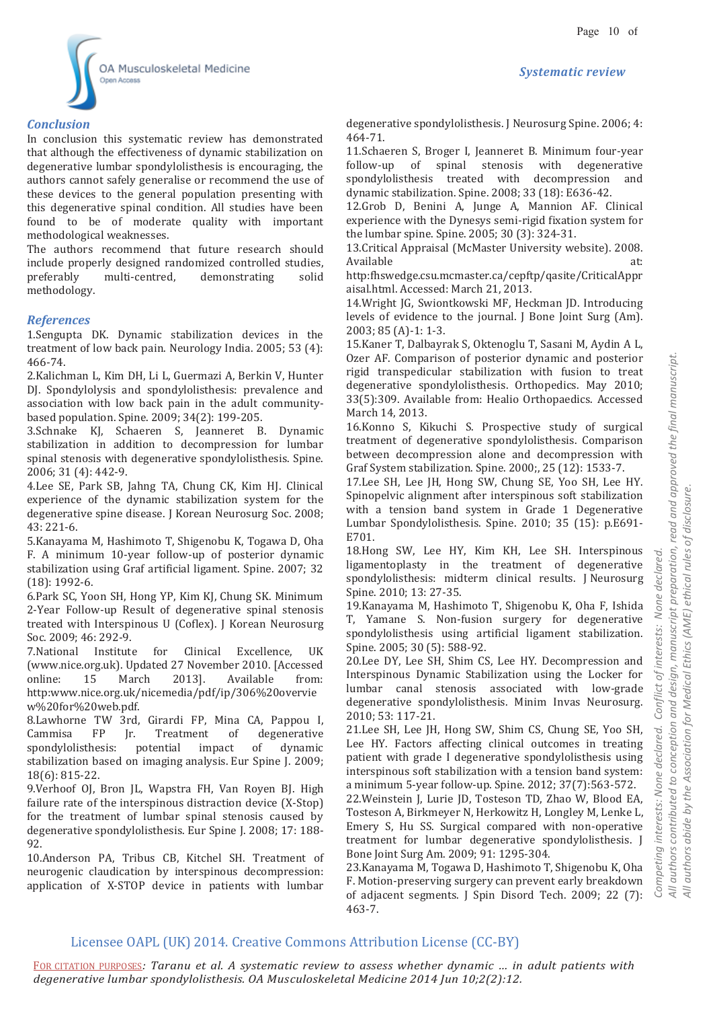



#### *Conclusion*

In conclusion this systematic review has demonstrated that although the effectiveness of dynamic stabilization on degenerative lumbar spondylolisthesis is encouraging, the authors cannot safely generalise or recommend the use of these devices to the general population presenting with this degenerative spinal condition. All studies have been found to be of moderate quality with important methodological weaknesses.

The authors recommend that future research should include properly designed randomized controlled studies, preferably multi-centred, demonstrating solid methodology.

#### *References*

1.Sengupta DK. Dynamic stabilization devices in the treatment of low back pain. Neurology India. 2005; 53 (4): 466-74.

2.Kalichman L, Kim DH, Li L, Guermazi A, Berkin V, Hunter DJ. Spondylolysis and spondylolisthesis: prevalence and association with low back pain in the adult communitybased population. Spine. 2009; 34(2): 199-205.

3.Schnake KJ, Schaeren S, Jeanneret B. Dynamic stabilization in addition to decompression for lumbar spinal stenosis with degenerative spondylolisthesis. Spine. 2006; 31 (4): 442-9.

4.Lee SE, Park SB, Jahng TA, Chung CK, Kim HJ. Clinical experience of the dynamic stabilization system for the degenerative spine disease. J Korean Neurosurg Soc. 2008; 43: 221-6.

5.Kanayama M, Hashimoto T, Shigenobu K, Togawa D, Oha F. A minimum 10-year follow-up of posterior dynamic stabilization using Graf artificial ligament. Spine. 2007; 32 (18): 1992-6.

6.Park SC, Yoon SH, Hong YP, Kim KJ, Chung SK. Minimum 2-Year Follow-up Result of degenerative spinal stenosis treated with Interspinous U (Coflex). J Korean Neurosurg Soc. 2009; 46: 292-9.

7.National Institute for Clinical Excellence, UK (www.nice.org.uk). Updated 27 November 2010. [Accessed online: 15 March 2013]. Available from: http:www.nice.org.uk/nicemedia/pdf/ip/306%20overvie w%20for%20web.pdf.

8.Lawhorne TW 3rd, Girardi FP, Mina CA, Pappou I, Cammisa FP Jr. Treatment of degenerative spondylolisthesis: potential impact of dynamic stabilization based on imaging analysis. Eur Spine J. 2009; 18(6): 815-22.

9.Verhoof OJ, Bron JL, Wapstra FH, Van Royen BJ. High failure rate of the interspinous distraction device (X-Stop) for the treatment of lumbar spinal stenosis caused by degenerative spondylolisthesis. Eur Spine J. 2008; 17: 188- 92.

10.Anderson PA, Tribus CB, Kitchel SH. Treatment of neurogenic claudication by interspinous decompression: application of X-STOP device in patients with lumbar

degenerative spondylolisthesis. J Neurosurg Spine. 2006; 4: 464-71.

11.Schaeren S, Broger I, Jeanneret B. Minimum four-year follow-up of spinal stenosis with degenerative spondylolisthesis treated with decompression and dynamic stabilization. Spine. 2008; 33 (18): E636-42.

12.Grob D, Benini A, Junge A, Mannion AF. Clinical experience with the Dynesys semi-rigid fixation system for the lumbar spine. Spine. 2005; 30 (3): 324-31.

13.Critical Appraisal (McMaster University website). 2008. Available

http:fhswedge.csu.mcmaster.ca/cepftp/qasite/CriticalAppr aisal.html. Accessed: March 21, 2013.

14.Wright JG, Swiontkowski MF, Heckman JD. Introducing levels of evidence to the journal. J Bone Joint Surg (Am). 2003; 85 (A)-1: 1-3.

15.Kaner T, Dalbayrak S, Oktenoglu T, Sasani M, Aydin A L, Ozer AF. Comparison of posterior dynamic and posterior rigid transpedicular stabilization with fusion to treat degenerative spondylolisthesis. Orthopedics. May 2010; 33(5):309. Available from: Healio Orthopaedics. Accessed March 14, 2013.

16.Konno S, Kikuchi S. Prospective study of surgical treatment of degenerative spondylolisthesis. Comparison between decompression alone and decompression with Graf System stabilization. Spine. 2000;, 25 (12): 1533-7.

17.Lee SH, Lee JH, Hong SW, Chung SE, Yoo SH, Lee HY. Spinopelvic alignment after interspinous soft stabilization with a tension band system in Grade 1 Degenerative Lumbar Spondylolisthesis. Spine. 2010; 35 (15): p.E691- E701.

18.Hong SW, Lee HY, Kim KH, Lee SH. Interspinous ligamentoplasty in the treatment of degenerative spondylolisthesis: midterm clinical results. J Neurosurg Spine. 2010; 13: 27-35.

19.Kanayama M, Hashimoto T, Shigenobu K, Oha F, Ishida T, Yamane S. Non-fusion surgery for degenerative spondylolisthesis using artificial ligament stabilization. Spine. 2005; 30 (5): 588-92.

20.Lee DY, Lee SH, Shim CS, Lee HY. Decompression and Interspinous Dynamic Stabilization using the Locker for lumbar canal stenosis associated with low-grade degenerative spondylolisthesis. Minim Invas Neurosurg. 2010; 53: 117-21.

21.Lee SH, Lee JH, Hong SW, Shim CS, Chung SE, Yoo SH, Lee HY. Factors affecting clinical outcomes in treating patient with grade I degenerative spondylolisthesis using interspinous soft stabilization with a tension band system: a minimum 5-year follow-up. Spine. 2012; 37(7):563-572.

22.Weinstein J, Lurie JD, Tosteson TD, Zhao W, Blood EA, Tosteson A, Birkmeyer N, Herkowitz H, Longley M, Lenke L, Emery S, Hu SS. Surgical compared with non-operative treatment for lumbar degenerative spondylolisthesis. J Bone Joint Surg Am. 2009; 91: 1295-304.

23.Kanayama M, Togawa D, Hashimoto T, Shigenobu K, Oha F. Motion-preserving surgery can prevent early breakdown of adjacent segments. J Spin Disord Tech. 2009; 22 (7): 463-7.

# Licensee OAPL (UK) 2014. Creative Commons Attribution License (CC-BY)